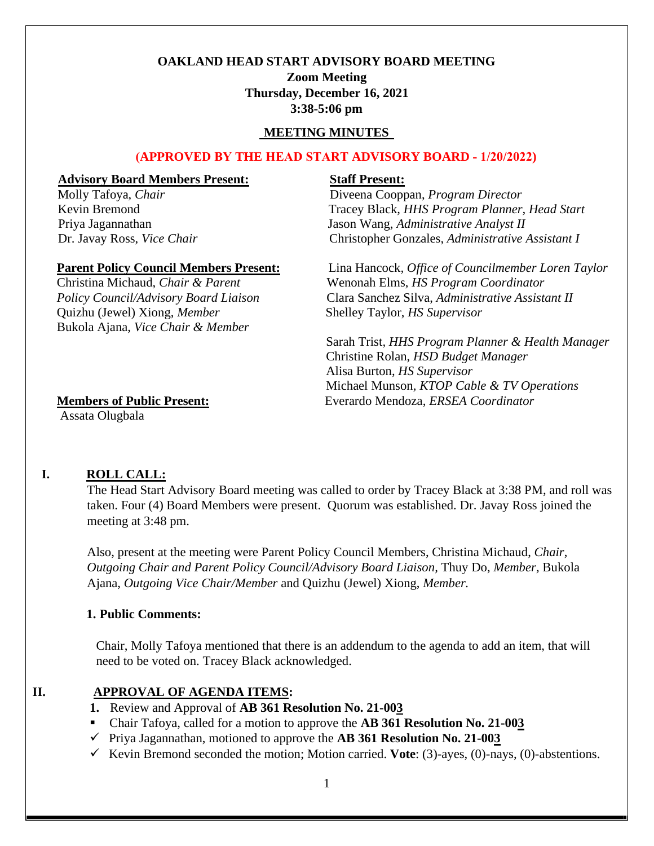# **OAKLAND HEAD START ADVISORY BOARD MEETING**

**Zoom Meeting Thursday, December 16, 2021 3:38-5:06 pm** 

#### **MEETING MINUTES**

#### **(APPROVED BY THE HEAD START ADVISORY BOARD - 1/20/2022)**

#### **Advisory Board Members Present: Staff Present:**

*Molly Tafoya, Chair Chair Diveena Cooppan, <i>Program Director* Kevin Bremond<br>
Tracey Black, HHS Program Planner, Head Start Priya Jagannathan Jason Wang, *Administrative Analyst II*  Dr. Javay Ross, *Vice Chair* Christopher Gonzales, *Administrative Assistant I*

 Quizhu (Jewel) Xiong, *Member* Shelley Taylor, *HS Supervisor* Bukola Ajana, *Vice Chair & Member*

# **Parent Policy Council Members Present:**Lina Hancock*, Office of Councilmember Loren Taylor* Christina Michaud, *Chair & Parent* Wenonah Elms, *HS Program Coordinator Policy Council/Advisory Board Liaison* Clara Sanchez Silva, *Administrative Assistant II*

Sarah Trist*, HHS Program Planner & Health Manager* Christine Rolan, *HSD Budget Manager* Alisa Burton, *HS Supervisor* Michael Munson*, KTOP Cable & TV Operations* **Members of Public Present:** Everardo Mendoza, *ERSEA Coordinator*

Assata Olugbala

### **I. ROLL CALL:**

The Head Start Advisory Board meeting was called to order by Tracey Black at 3:38 PM, and roll was taken. Four (4) Board Members were present. Quorum was established. Dr. Javay Ross joined the meeting at 3:48 pm.

Also, present at the meeting were Parent Policy Council Members, Christina Michaud, *Chair*, *Outgoing Chair and Parent Policy Council/Advisory Board Liaison,* Thuy Do, *Member,* Bukola Ajana, *Outgoing Vice Chair/Member* and Quizhu (Jewel) Xiong, *Member.*

### **1. Public Comments:**

Chair, Molly Tafoya mentioned that there is an addendum to the agenda to add an item, that will need to be voted on. Tracey Black acknowledged.

### **II. APPROVAL OF AGENDA ITEMS:**

- **1.** Review and Approval of **AB 361 Resolution No. 21-003**
- Chair Tafoya, called for a motion to approve the **AB 361 Resolution No. 21-003**
- ✓ Priya Jagannathan, motioned to approve the **AB 361 Resolution No. 21-003**
- ✓ Kevin Bremond seconded the motion; Motion carried. **Vote**: (3)-ayes, (0)-nays, (0)-abstentions.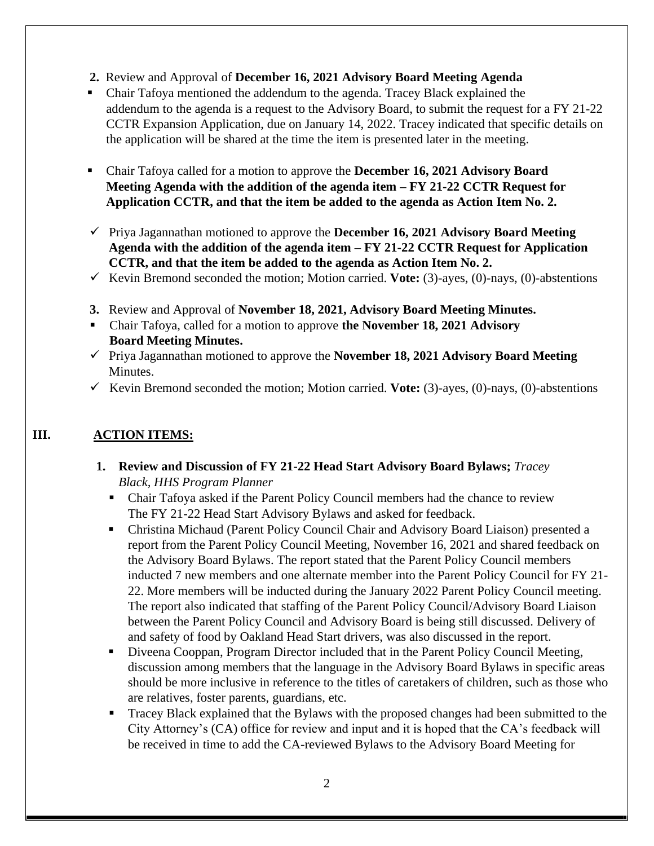**2.** Review and Approval of **December 16, 2021 Advisory Board Meeting Agenda**

▪ Chair Tafoya mentioned the addendum to the agenda. Tracey Black explained the addendum to the agenda is a request to the Advisory Board, to submit the request for a FY 21-22 CCTR Expansion Application, due on January 14, 2022. Tracey indicated that specific details on the application will be shared at the time the item is presented later in the meeting.

- Chair Tafoya called for a motion to approve the **December 16, 2021 Advisory Board Meeting Agenda with the addition of the agenda item – FY 21-22 CCTR Request for Application CCTR, and that the item be added to the agenda as Action Item No. 2.**
- ✓ Priya Jagannathan motioned to approve the **December 16, 2021 Advisory Board Meeting Agenda with the addition of the agenda item – FY 21-22 CCTR Request for Application CCTR, and that the item be added to the agenda as Action Item No. 2.**
- ✓ Kevin Bremond seconded the motion; Motion carried. **Vote:** (3)-ayes, (0)-nays, (0)-abstentions
- **3.** Review and Approval of **November 18, 2021, Advisory Board Meeting Minutes.**
- Chair Tafoya, called for a motion to approve **the November 18, 2021 Advisory Board Meeting Minutes.**
- ✓ Priya Jagannathan motioned to approve the **November 18, 2021 Advisory Board Meeting**  Minutes.
- ✓ Kevin Bremond seconded the motion; Motion carried. **Vote:** (3)-ayes, (0)-nays, (0)-abstentions

# **III. ACTION ITEMS:**

- **1. Review and Discussion of FY 21-22 Head Start Advisory Board Bylaws;** *Tracey Black, HHS Program Planner*
	- Chair Tafoya asked if the Parent Policy Council members had the chance to review The FY 21-22 Head Start Advisory Bylaws and asked for feedback.
	- Christina Michaud (Parent Policy Council Chair and Advisory Board Liaison) presented a report from the Parent Policy Council Meeting, November 16, 2021 and shared feedback on the Advisory Board Bylaws. The report stated that the Parent Policy Council members inducted 7 new members and one alternate member into the Parent Policy Council for FY 21- 22. More members will be inducted during the January 2022 Parent Policy Council meeting. The report also indicated that staffing of the Parent Policy Council/Advisory Board Liaison between the Parent Policy Council and Advisory Board is being still discussed. Delivery of and safety of food by Oakland Head Start drivers, was also discussed in the report.
	- Diveena Cooppan, Program Director included that in the Parent Policy Council Meeting, discussion among members that the language in the Advisory Board Bylaws in specific areas should be more inclusive in reference to the titles of caretakers of children, such as those who are relatives, foster parents, guardians, etc.
	- Tracey Black explained that the Bylaws with the proposed changes had been submitted to the City Attorney's (CA) office for review and input and it is hoped that the CA's feedback will be received in time to add the CA-reviewed Bylaws to the Advisory Board Meeting for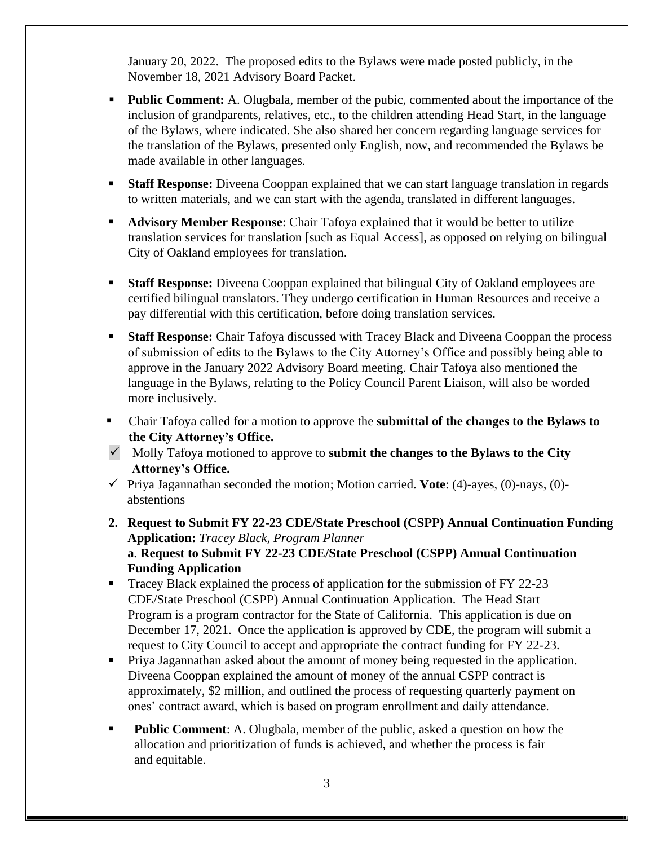January 20, 2022. The proposed edits to the Bylaws were made posted publicly, in the November 18, 2021 Advisory Board Packet.

- **Public Comment:** A. Olugbala, member of the pubic, commented about the importance of the inclusion of grandparents, relatives, etc., to the children attending Head Start, in the language of the Bylaws, where indicated. She also shared her concern regarding language services for the translation of the Bylaws, presented only English, now, and recommended the Bylaws be made available in other languages.
- **Staff Response:** Diveena Cooppan explained that we can start language translation in regards to written materials, and we can start with the agenda, translated in different languages.
- **Advisory Member Response:** Chair Tafoya explained that it would be better to utilize translation services for translation [such as Equal Access], as opposed on relying on bilingual City of Oakland employees for translation.
- **Staff Response:** Diveena Cooppan explained that bilingual City of Oakland employees are certified bilingual translators. They undergo certification in Human Resources and receive a pay differential with this certification, before doing translation services.
- **EXECT:** Staff **Response:** Chair Tafoya discussed with Tracey Black and Diveena Cooppan the process of submission of edits to the Bylaws to the City Attorney's Office and possibly being able to approve in the January 2022 Advisory Board meeting. Chair Tafoya also mentioned the language in the Bylaws, relating to the Policy Council Parent Liaison, will also be worded more inclusively.
- Chair Tafoya called for a motion to approve the **submittal of the changes to the Bylaws to the City Attorney's Office.**
- ✓ Molly Tafoya motioned to approve to **submit the changes to the Bylaws to the City Attorney's Office.**
- ✓ Priya Jagannathan seconded the motion; Motion carried. **Vote**: (4)-ayes, (0)-nays, (0) abstentions
- **2. Request to Submit FY 22-23 CDE/State Preschool (CSPP) Annual Continuation Funding Application:** *Tracey Black, Program Planner* **a***.* **Request to Submit FY 22-23 CDE/State Preschool (CSPP) Annual Continuation Funding Application**
- Tracey Black explained the process of application for the submission of FY 22-23 CDE/State Preschool (CSPP) Annual Continuation Application. The Head Start Program is a program contractor for the State of California. This application is due on December 17, 2021. Once the application is approved by CDE, the program will submit a request to City Council to accept and appropriate the contract funding for FY 22-23.
- **Priya Jagannathan asked about the amount of money being requested in the application.** Diveena Cooppan explained the amount of money of the annual CSPP contract is approximately, \$2 million, and outlined the process of requesting quarterly payment on ones' contract award, which is based on program enrollment and daily attendance.
- **Public Comment**: A. Olugbala, member of the public, asked a question on how the allocation and prioritization of funds is achieved, and whether the process is fair and equitable.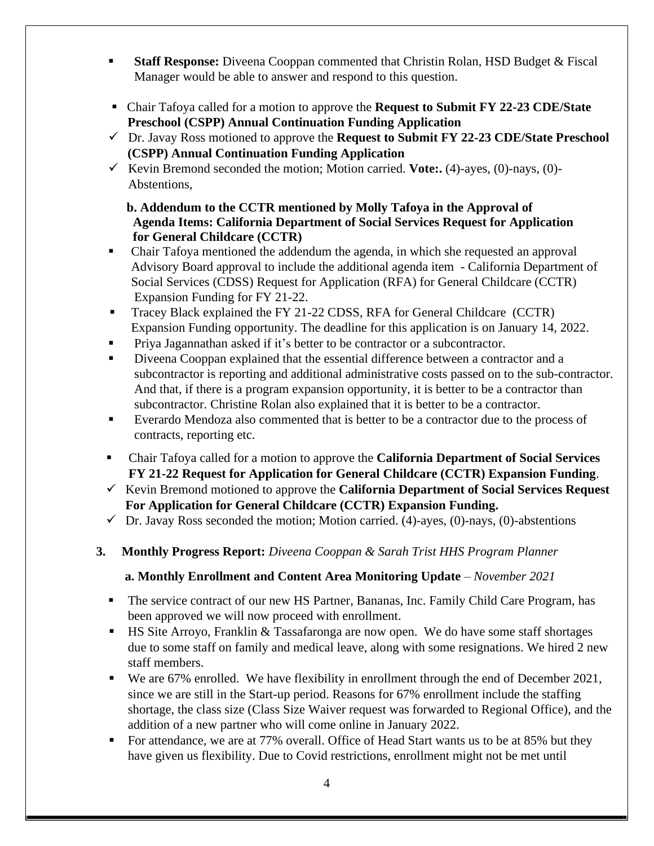- **Example 15 Staff Response:** Diveena Cooppan commented that Christin Rolan, HSD Budget & Fiscal Manager would be able to answer and respond to this question.
- Chair Tafoya called for a motion to approve the **Request to Submit FY 22-23 CDE/State Preschool (CSPP) Annual Continuation Funding Application**
- ✓ Dr. Javay Ross motioned to approve the **Request to Submit FY 22-23 CDE/State Preschool (CSPP) Annual Continuation Funding Application**
- ✓ Kevin Bremond seconded the motion; Motion carried. **Vote:.** (4)-ayes, (0)-nays, (0)- Abstentions,

# **b. Addendum to the CCTR mentioned by Molly Tafoya in the Approval of Agenda Items: California Department of Social Services Request for Application for General Childcare (CCTR)**

- Chair Tafoya mentioned the addendum the agenda, in which she requested an approval Advisory Board approval to include the additional agenda item - California Department of Social Services (CDSS) Request for Application (RFA) for General Childcare (CCTR) Expansion Funding for FY 21-22.
- Tracey Black explained the FY 21-22 CDSS, RFA for General Childcare (CCTR) Expansion Funding opportunity. The deadline for this application is on January 14, 2022.
- Priya Jagannathan asked if it's better to be contractor or a subcontractor.
- Diveena Cooppan explained that the essential difference between a contractor and a subcontractor is reporting and additional administrative costs passed on to the sub-contractor. And that, if there is a program expansion opportunity, it is better to be a contractor than subcontractor. Christine Rolan also explained that it is better to be a contractor.
- Everardo Mendoza also commented that is better to be a contractor due to the process of contracts, reporting etc.
- Chair Tafoya called for a motion to approve the **California Department of Social Services FY 21-22 Request for Application for General Childcare (CCTR) Expansion Funding**.
- ✓ Kevin Bremond motioned to approve the **California Department of Social Services Request For Application for General Childcare (CCTR) Expansion Funding.**
- $\checkmark$  Dr. Javay Ross seconded the motion; Motion carried. (4)-ayes, (0)-nays, (0)-abstentions
- **3. Monthly Progress Report:** *Diveena Cooppan & Sarah Trist HHS Program Planner*

# **a. Monthly Enrollment and Content Area Monitoring Update** – *November 2021*

- The service contract of our new HS Partner, Bananas, Inc. Family Child Care Program, has been approved we will now proceed with enrollment.
- HS Site Arroyo, Franklin  $&$  Tassafaronga are now open. We do have some staff shortages due to some staff on family and medical leave, along with some resignations. We hired 2 new staff members.
- We are 67% enrolled. We have flexibility in enrollment through the end of December 2021, since we are still in the Start-up period. Reasons for 67% enrollment include the staffing shortage, the class size (Class Size Waiver request was forwarded to Regional Office), and the addition of a new partner who will come online in January 2022.
- For attendance, we are at 77% overall. Office of Head Start wants us to be at 85% but they have given us flexibility. Due to Covid restrictions, enrollment might not be met until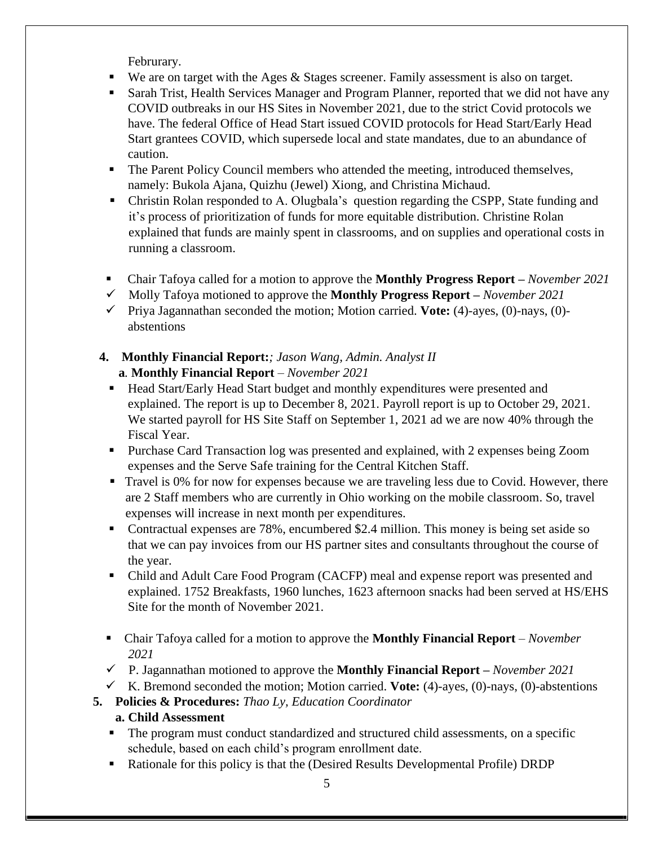Februrary.

- We are on target with the Ages  $\&$  Stages screener. Family assessment is also on target.
- Sarah Trist, Health Services Manager and Program Planner, reported that we did not have any COVID outbreaks in our HS Sites in November 2021, due to the strict Covid protocols we have. The federal Office of Head Start issued COVID protocols for Head Start/Early Head Start grantees COVID, which supersede local and state mandates, due to an abundance of caution.
- The Parent Policy Council members who attended the meeting, introduced themselves, namely: Bukola Ajana, Quizhu (Jewel) Xiong, and Christina Michaud.
- Christin Rolan responded to A. Olugbala's question regarding the CSPP, State funding and it's process of prioritization of funds for more equitable distribution. Christine Rolan explained that funds are mainly spent in classrooms, and on supplies and operational costs in running a classroom.
- Chair Tafoya called for a motion to approve the **Monthly Progress Report –** *November 2021*
- ✓ Molly Tafoya motioned to approve the **Monthly Progress Report –** *November 2021*
- ✓ Priya Jagannathan seconded the motion; Motion carried. **Vote:** (4)-ayes, (0)-nays, (0) abstentions
- **4. Monthly Financial Report:***; Jason Wang, Admin. Analyst II* **a***.* **Monthly Financial Report** *– November 2021*
	- Head Start/Early Head Start budget and monthly expenditures were presented and explained. The report is up to December 8, 2021. Payroll report is up to October 29, 2021. We started payroll for HS Site Staff on September 1, 2021 ad we are now 40% through the Fiscal Year.
	- **Purchase Card Transaction log was presented and explained, with 2 expenses being Zoom** expenses and the Serve Safe training for the Central Kitchen Staff.
	- **Travel is 0% for now for expenses because we are traveling less due to Covid. However, there**  are 2 Staff members who are currently in Ohio working on the mobile classroom. So, travel expenses will increase in next month per expenditures.
	- Contractual expenses are 78%, encumbered \$2.4 million. This money is being set aside so that we can pay invoices from our HS partner sites and consultants throughout the course of the year.
	- Child and Adult Care Food Program (CACFP) meal and expense report was presented and explained. 1752 Breakfasts, 1960 lunches, 1623 afternoon snacks had been served at HS/EHS Site for the month of November 2021.
	- Chair Tafoya called for a motion to approve the **Monthly Financial Report** *– November 2021*
	- ✓ P. Jagannathan motioned to approve the **Monthly Financial Report –** *November 2021*
- $\checkmark$  K. Bremond seconded the motion; Motion carried. **Vote:** (4)-ayes, (0)-nays, (0)-abstentions
- **5. Policies & Procedures:** *Thao Ly, Education Coordinator*
	- **a. Child Assessment**
	- **•** The program must conduct standardized and structured child assessments, on a specific schedule, based on each child's program enrollment date.
	- Rationale for this policy is that the (Desired Results Developmental Profile) DRDP